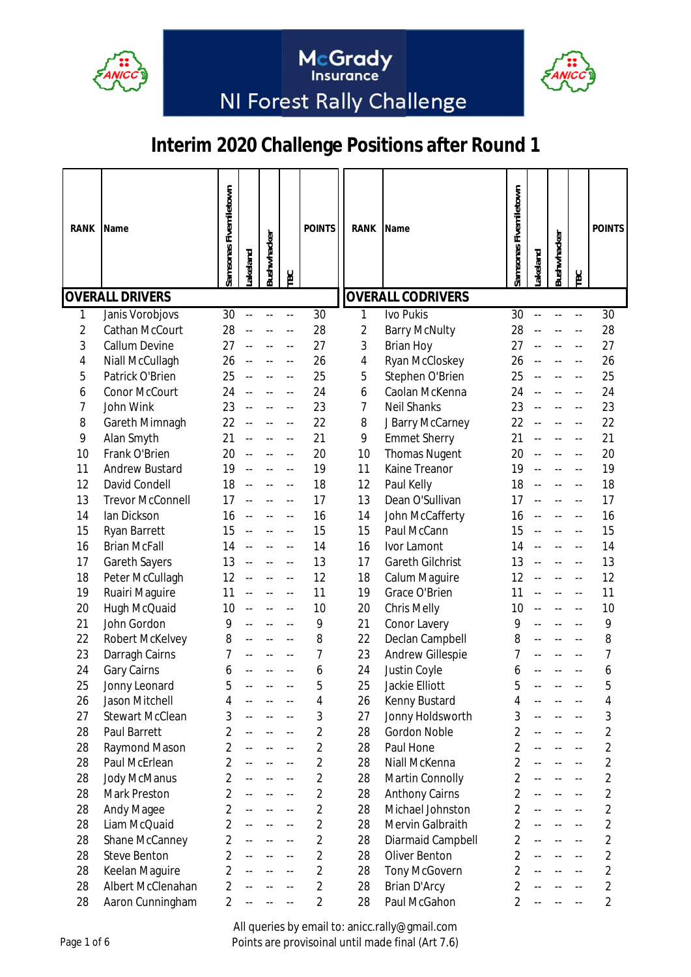



McGrady<br>Insurance

# **Interim 2020 Challenge Positions after Round 1**

| <b>RANK</b>    | Name                    | Samsonas Fivemiletown | akeland                  | Bushwhacker | TBC                      | <b>POINTS</b>  | <b>RANK</b> | <b>Name</b>              | Samsonas Fivemiletown | akeland                  | Bushwhacker | TBC                      | <b>POINTS</b>  |
|----------------|-------------------------|-----------------------|--------------------------|-------------|--------------------------|----------------|-------------|--------------------------|-----------------------|--------------------------|-------------|--------------------------|----------------|
|                | <b>OVERALL DRIVERS</b>  |                       |                          |             |                          |                |             | <b>OVERALL CODRIVERS</b> |                       |                          |             |                          |                |
|                | Janis Vorobjovs         | 30                    |                          |             |                          | 30             | 1           | Ivo Pukis                | 30                    |                          |             |                          | 30             |
| $\overline{2}$ | Cathan McCourt          | 28                    |                          |             |                          | 28             | 2           | <b>Barry McNulty</b>     | 28                    |                          |             |                          | 28             |
| 3              | <b>Callum Devine</b>    | 27                    |                          |             |                          | 27             | 3           | <b>Brian Hoy</b>         | 27                    |                          |             |                          | 27             |
| 4              | Niall McCullagh         | 26                    |                          |             |                          | 26             | 4           | Ryan McCloskey           | 26                    |                          |             |                          | 26             |
| 5              | Patrick O'Brien         | 25                    |                          |             | --                       | 25             | 5           | Stephen O'Brien          | 25                    |                          |             |                          | 25             |
| 6              | Conor McCourt           | 24                    |                          |             | --                       | 24             | 6           | Caolan McKenna           | 24                    |                          |             |                          | 24             |
| 7              | John Wink               | 23                    |                          |             | --                       | 23             | 7           | <b>Neil Shanks</b>       | 23                    |                          |             |                          | 23             |
| 8              | Gareth Mimnagh          | 22                    |                          |             |                          | 22             | 8           | J Barry McCarney         | 22                    |                          |             |                          | 22             |
| 9              | Alan Smyth              | 21                    |                          |             | $-$                      | 21             | 9           | <b>Emmet Sherry</b>      | 21                    |                          |             |                          | 21             |
| 10             | Frank O'Brien           | 20                    |                          |             |                          | 20             | 10          | <b>Thomas Nugent</b>     | 20                    |                          |             |                          | 20             |
| 11             | <b>Andrew Bustard</b>   | 19                    |                          |             |                          | 19             | 11          | Kaine Treanor            | 19                    |                          |             |                          | 19             |
| 12             | David Condell           | 18                    |                          |             |                          | 18             | 12          | Paul Kelly               | 18                    |                          |             |                          | 18             |
| 13             | <b>Trevor McConnell</b> | 17                    |                          |             |                          | 17             | 13          | Dean O'Sullivan          | 17                    |                          |             |                          | 17             |
| 14             | lan Dickson             | 16                    |                          |             |                          | 16             | 14          | John McCafferty          | 16                    |                          |             |                          | 16             |
| 15             | Ryan Barrett            | 15                    |                          |             | --                       | 15             | 15          | Paul McCann              | 15                    |                          |             |                          | 15             |
| 16             | <b>Brian McFall</b>     | 14                    |                          |             | --                       | 14             | 16          | Ivor Lamont              | 14                    |                          |             |                          | 14             |
| 17             | <b>Gareth Sayers</b>    | 13                    |                          |             | $-$                      | 13             | 17          | <b>Gareth Gilchrist</b>  | 13                    |                          |             |                          | 13             |
|                |                         |                       |                          |             |                          | 12             | 18          |                          |                       |                          |             |                          | 12             |
| 18             | Peter McCullagh         | 12                    |                          |             | $-$                      |                |             | Calum Maguire            | 12                    |                          |             |                          |                |
| 19             | Ruairi Maguire          | 11                    |                          |             |                          | 11             | 19          | Grace O'Brien            | 11                    |                          |             |                          | 11             |
| 20             | Hugh McQuaid            | 10                    |                          |             | --                       | 10             | 20          | <b>Chris Melly</b>       | 10                    |                          |             |                          | 10             |
| 21             | John Gordon             | 9                     |                          |             |                          | 9              | 21          | Conor Lavery             | 9                     |                          |             |                          | 9              |
| 22             | Robert McKelvey         | 8                     |                          |             | --                       | 8              | 22          | Declan Campbell          | 8                     |                          |             |                          | 8              |
| 23             | Darragh Cairns          | 7                     |                          |             | --                       | 7              | 23          | <b>Andrew Gillespie</b>  | 7                     |                          |             |                          | 7              |
| 24             | Gary Cairns             | 6                     |                          |             |                          | 6              | 24          | Justin Coyle             | 6                     |                          |             |                          | 6              |
| 25             | Jonny Leonard           | 5                     |                          |             |                          | 片              | 25          | Jackie Elliott           | 5                     |                          |             |                          | ҕ              |
| 26             | Jason Mitchell          | 4                     |                          |             | --                       | 4              | 26          | Kenny Bustard            | 4                     |                          |             |                          | 4              |
| 27             | <b>Stewart McClean</b>  | 3                     |                          |             | --                       | 3              | 27          | Jonny Holdsworth         | 3                     |                          |             |                          | 3              |
| 28             | Paul Barrett            | $\overline{2}$        |                          |             | --                       | $\overline{c}$ | 28          | Gordon Noble             | $\overline{2}$        |                          |             |                          | $\overline{2}$ |
| 28             | Raymond Mason           | $\overline{2}$        | $\overline{\phantom{a}}$ |             | $\overline{\phantom{a}}$ | $\overline{2}$ | 28          | Paul Hone                | $\overline{2}$        | --                       |             |                          | 2              |
| 28             | Paul McErlean           | $\overline{2}$        | $-$                      |             | --                       | $\overline{2}$ | 28          | Niall McKenna            | $\overline{2}$        | $-$                      |             |                          | $\overline{2}$ |
| 28             | Jody McManus            | $\overline{2}$        |                          |             |                          | $\overline{2}$ | 28          | Martin Connolly          | $\overline{2}$        |                          |             |                          | $\overline{2}$ |
| 28             | Mark Preston            | $\overline{2}$        |                          |             |                          | $\overline{2}$ | 28          | <b>Anthony Cairns</b>    | $\overline{2}$        |                          |             |                          | $\overline{2}$ |
| 28             | Andy Magee              | $\overline{2}$        |                          |             | --                       | $\overline{2}$ | 28          | Michael Johnston         | $\overline{2}$        |                          |             |                          | $\overline{2}$ |
| 28             | Liam McQuaid            | $\overline{2}$        | $\overline{\phantom{a}}$ |             | $\overline{\phantom{a}}$ | 2              | 28          | Mervin Galbraith         | $\overline{2}$        | $-$                      |             |                          | $\overline{2}$ |
| 28             | Shane McCanney          | $\overline{2}$        | $\overline{\phantom{a}}$ |             | $\overline{a}$           | $\overline{2}$ | 28          | Diarmaid Campbell        | $\overline{2}$        | $\overline{\phantom{a}}$ |             | $\overline{a}$           | $\overline{2}$ |
| 28             | <b>Steve Benton</b>     | $\overline{2}$        |                          |             | $-$                      | $\overline{2}$ | 28          | Oliver Benton            | $\overline{2}$        |                          |             | $\overline{\phantom{a}}$ | $\overline{2}$ |
| 28             | Keelan Maguire          | $\overline{2}$        |                          |             | $-$                      | $\overline{2}$ | 28          | <b>Tony McGovern</b>     | $\overline{2}$        |                          |             | $\overline{a}$           | $\overline{2}$ |
| 28             | Albert McClenahan       | $\overline{2}$        | $- -$                    |             | $-$                      | $\overline{2}$ | 28          | Brian D'Arcy             | $\overline{2}$        |                          |             | --                       | $\overline{2}$ |
| 28             | Aaron Cunningham        | $\overline{2}$        |                          |             | --                       | $\overline{2}$ | 28          | Paul McGahon             | $\overline{2}$        |                          |             | $-$                      | $\overline{2}$ |

All queries by email to: anicc.rally@gmail.com Points are provisoinal until made final (Art 7.6)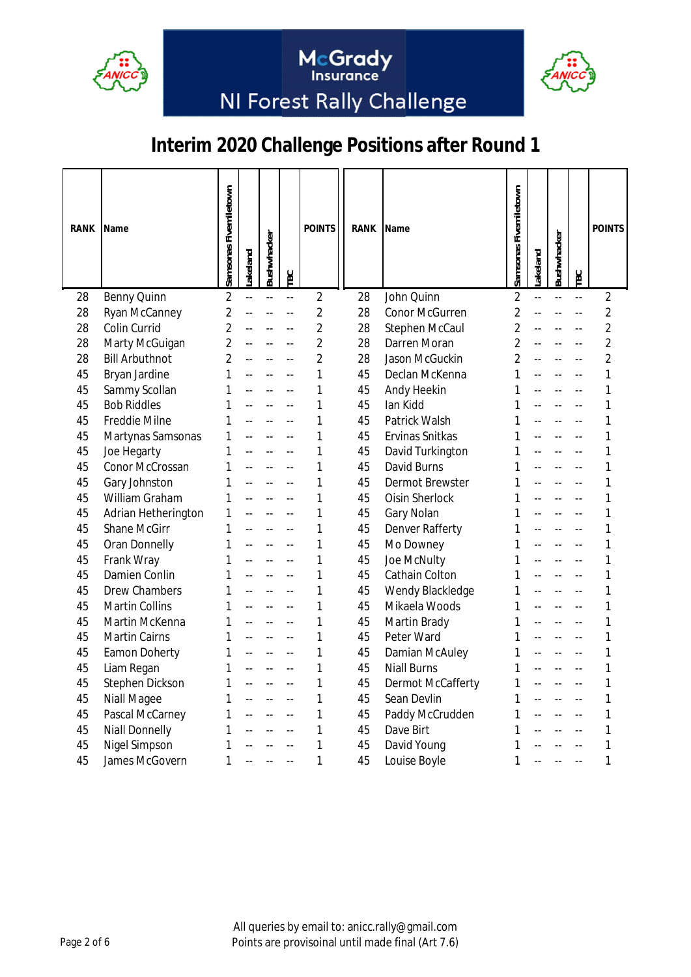



McGrady<br>Insurance

| RANK | Name                  | Samsonas Fivemiletown | akeland | Bushwhacker    | TBC | <b>POINTS</b>  | <b>RANK</b> | Name                  | Samsonas Fivemiletown | .akeland | Bushwhacker | TBC                      | <b>POINTS</b>  |
|------|-----------------------|-----------------------|---------|----------------|-----|----------------|-------------|-----------------------|-----------------------|----------|-------------|--------------------------|----------------|
| 28   | <b>Benny Quinn</b>    | $\overline{2}$        |         | $\overline{a}$ | --  | $\overline{2}$ | 28          | John Quinn            | $\overline{2}$        |          |             | $\overline{\phantom{a}}$ | $\overline{2}$ |
| 28   | Ryan McCanney         | $\overline{2}$        |         |                | --  | $\overline{2}$ | 28          | <b>Conor McGurren</b> | $\overline{2}$        |          |             |                          | $\overline{2}$ |
| 28   | Colin Currid          | $\overline{2}$        |         |                |     | $\overline{2}$ | 28          | Stephen McCaul        | $\overline{2}$        |          |             |                          | $\overline{2}$ |
| 28   | Marty McGuigan        | $\overline{2}$        |         |                |     | $\overline{2}$ | 28          | Darren Moran          | $\overline{2}$        |          |             |                          | $\overline{2}$ |
| 28   | <b>Bill Arbuthnot</b> | $\overline{2}$        |         |                |     | $\overline{2}$ | 28          | Jason McGuckin        | $\overline{2}$        |          |             |                          | $\overline{2}$ |
| 45   | Bryan Jardine         | 1                     |         |                |     | 1              | 45          | Declan McKenna        | 1                     |          |             |                          | 1              |
| 45   | Sammy Scollan         | 1                     |         |                |     | 1              | 45          | Andy Heekin           | 1                     |          |             |                          | 1              |
| 45   | <b>Bob Riddles</b>    | 1                     |         |                |     | 1              | 45          | lan Kidd              | 1                     |          |             |                          | 1              |
| 45   | Freddie Milne         | 1                     |         |                |     | 1              | 45          | Patrick Walsh         | 1                     |          |             |                          | 1              |
| 45   | Martynas Samsonas     | 1                     |         |                |     | 1              | 45          | Ervinas Snitkas       | 1                     |          |             |                          | 1              |
| 45   | Joe Hegarty           | 1                     |         |                |     | 1              | 45          | David Turkington      | 1                     |          |             |                          | 1              |
| 45   | Conor McCrossan       | 1                     |         |                |     | 1              | 45          | David Burns           | 1                     |          |             |                          | 1              |
| 45   | Gary Johnston         | 1                     |         |                |     | 1              | 45          | Dermot Brewster       | 1                     |          |             |                          | 1              |
| 45   | William Graham        | 1                     |         |                |     | 1              | 45          | Oisin Sherlock        | 1                     |          |             |                          | 1              |
| 45   | Adrian Hetherington   | 1                     |         |                |     | 1              | 45          | Gary Nolan            | 1                     |          |             |                          | 1              |
| 45   | <b>Shane McGirr</b>   | 1                     |         |                |     | 1              | 45          | Denver Rafferty       | 1                     |          |             |                          | 1              |
| 45   | Oran Donnelly         | 1                     |         |                |     | 1              | 45          | Mo Downey             | 1                     |          |             |                          | 1              |
| 45   | Frank Wray            | 1                     |         |                |     | 1              | 45          | Joe McNulty           | 1                     |          |             |                          | 1              |
| 45   | Damien Conlin         | 1                     |         |                |     | 1              | 45          | Cathain Colton        | 1                     |          |             |                          | 1              |
| 45   | <b>Drew Chambers</b>  | 1                     |         |                |     | 1              | 45          | Wendy Blackledge      | 1                     |          |             |                          | 1              |
| 45   | <b>Martin Collins</b> | 1                     |         |                |     | 1              | 45          | Mikaela Woods         | 1                     |          |             |                          | 1              |
| 45   | Martin McKenna        | 1                     |         |                |     | 1              | 45          | Martin Brady          | 1                     |          |             |                          | 1              |
| 45   | Martin Cairns         | 1                     |         |                |     | 1              | 45          | Peter Ward            | 1                     |          |             |                          | 1              |
| 45   | Eamon Doherty         | 1                     |         |                |     | 1              | 45          | Damian McAuley        | 1                     |          |             |                          | 1              |
| 45   | Liam Regan            | 1                     |         |                |     | 1              | 45          | <b>Niall Burns</b>    | 1                     |          |             |                          | 1              |
| 45   | Stephen Dickson       | 1                     |         |                |     | 1              | 45          | Dermot McCafferty     | 1                     |          |             |                          | 1              |
| 45   | <b>Niall Magee</b>    | 1                     |         |                |     | 1              | 45          | Sean Devlin           | 1                     |          |             |                          | 1              |
| 45   | Pascal McCarney       | 1                     |         |                |     | 1              | 45          | Paddy McCrudden       | 1                     |          |             |                          | 1              |
| 45   | <b>Niall Donnelly</b> | 1                     |         |                |     | 1              | 45          | Dave Birt             | 1                     |          |             |                          | 1              |
| 45   | <b>Nigel Simpson</b>  | 1                     |         |                |     | 1              | 45          | David Young           | 1                     |          |             |                          | 1              |
| 45   | James McGovern        | 1                     |         |                |     | 1              | 45          | Louise Boyle          | 1                     |          |             |                          | 1              |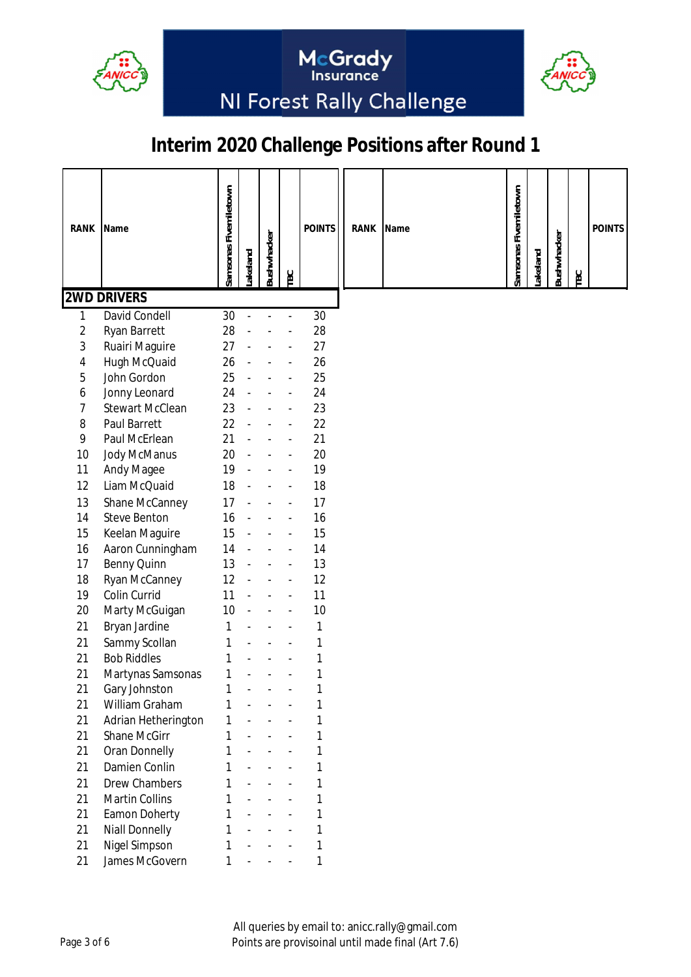



McGrady<br>Insurance

| <b>RANK</b>    | Name                   |                       |               |             |                          | <b>POINTS</b> | RANK | Name |                       |         |             |            | <b>POINTS</b> |
|----------------|------------------------|-----------------------|---------------|-------------|--------------------------|---------------|------|------|-----------------------|---------|-------------|------------|---------------|
|                |                        | Samsonas Fivemiletown | akeland       | Bushwhacker | <b>TBC</b>               |               |      |      | Samsonas Fivemiletown | akeland | Bushwhacker | <b>TBC</b> |               |
|                | <b>2WD DRIVERS</b>     |                       |               |             |                          |               |      |      |                       |         |             |            |               |
| 1              | <b>David Condell</b>   | 30                    | $\frac{1}{2}$ |             | $\overline{\phantom{a}}$ | 30            |      |      |                       |         |             |            |               |
| $\overline{2}$ | Ryan Barrett           | 28                    |               |             |                          | 28            |      |      |                       |         |             |            |               |
| 3              | Ruairi Maguire         | 27                    |               |             |                          | 27            |      |      |                       |         |             |            |               |
| 4              | Hugh McQuaid           | 26                    |               |             |                          | 26            |      |      |                       |         |             |            |               |
| 5              | John Gordon            | 25                    |               |             |                          | 25            |      |      |                       |         |             |            |               |
| 6              | Jonny Leonard          | 24                    |               |             |                          | 24            |      |      |                       |         |             |            |               |
| 7              | <b>Stewart McClean</b> | 23                    |               |             |                          | 23            |      |      |                       |         |             |            |               |
| 8              | <b>Paul Barrett</b>    | 22                    |               |             |                          | 22            |      |      |                       |         |             |            |               |
| 9              | Paul McErlean          | 21                    |               |             |                          | 21            |      |      |                       |         |             |            |               |
| 10             | Jody McManus           | 20                    |               |             |                          | 20            |      |      |                       |         |             |            |               |
| 11             | Andy Magee             | 19                    |               |             |                          | 19            |      |      |                       |         |             |            |               |
| 12             | Liam McQuaid           | 18                    |               |             |                          | 18            |      |      |                       |         |             |            |               |
| 13             | Shane McCanney         | 17                    |               |             |                          | 17            |      |      |                       |         |             |            |               |
| 14             | <b>Steve Benton</b>    | 16                    |               |             |                          | 16            |      |      |                       |         |             |            |               |
| 15             | Keelan Maguire         | 15                    |               |             |                          | 15            |      |      |                       |         |             |            |               |
| 16             | Aaron Cunningham       | 14                    |               |             |                          | 14            |      |      |                       |         |             |            |               |
| 17             | Benny Quinn            | 13                    |               |             |                          | 13            |      |      |                       |         |             |            |               |
| 18             | Ryan McCanney          | 12                    |               |             |                          | 12            |      |      |                       |         |             |            |               |
| 19             | Colin Currid           | 11                    |               |             |                          | 11            |      |      |                       |         |             |            |               |
| 20             | Marty McGuigan         | 10                    |               |             |                          | 10            |      |      |                       |         |             |            |               |
| 21             | Bryan Jardine          | 1                     |               |             |                          | 1             |      |      |                       |         |             |            |               |
| 21             | Sammy Scollan          | 1                     |               |             |                          | 1             |      |      |                       |         |             |            |               |
| 21             | <b>Bob Riddles</b>     | 1                     |               |             |                          | 1             |      |      |                       |         |             |            |               |
| 21             | Martynas Samsonas      | 1                     |               |             |                          | 1             |      |      |                       |         |             |            |               |
| 21             | Gary Johnston          |                       |               |             |                          |               |      |      |                       |         |             |            |               |
| 21             | William Graham         | 1                     |               |             |                          |               |      |      |                       |         |             |            |               |
| 21             | Adrian Hetherington    | 1                     |               |             |                          | 1             |      |      |                       |         |             |            |               |
| 21             | Shane McGirr           | 1                     |               |             |                          | 1             |      |      |                       |         |             |            |               |
| 21             | Oran Donnelly          | 1                     |               |             |                          | 1             |      |      |                       |         |             |            |               |
| 21             | Damien Conlin          | 1                     |               |             |                          | 1             |      |      |                       |         |             |            |               |
| 21             | <b>Drew Chambers</b>   | 1                     |               |             |                          | 1             |      |      |                       |         |             |            |               |
| 21             | Martin Collins         | 1                     |               |             |                          | 1             |      |      |                       |         |             |            |               |
| 21             | Eamon Doherty          | 1                     |               |             |                          | 1             |      |      |                       |         |             |            |               |
| 21             | <b>Niall Donnelly</b>  | 1                     |               |             |                          | 1             |      |      |                       |         |             |            |               |
| 21             | Nigel Simpson          | 1                     |               |             |                          | 1             |      |      |                       |         |             |            |               |
| 21             | James McGovern         | 1                     |               |             |                          | 1             |      |      |                       |         |             |            |               |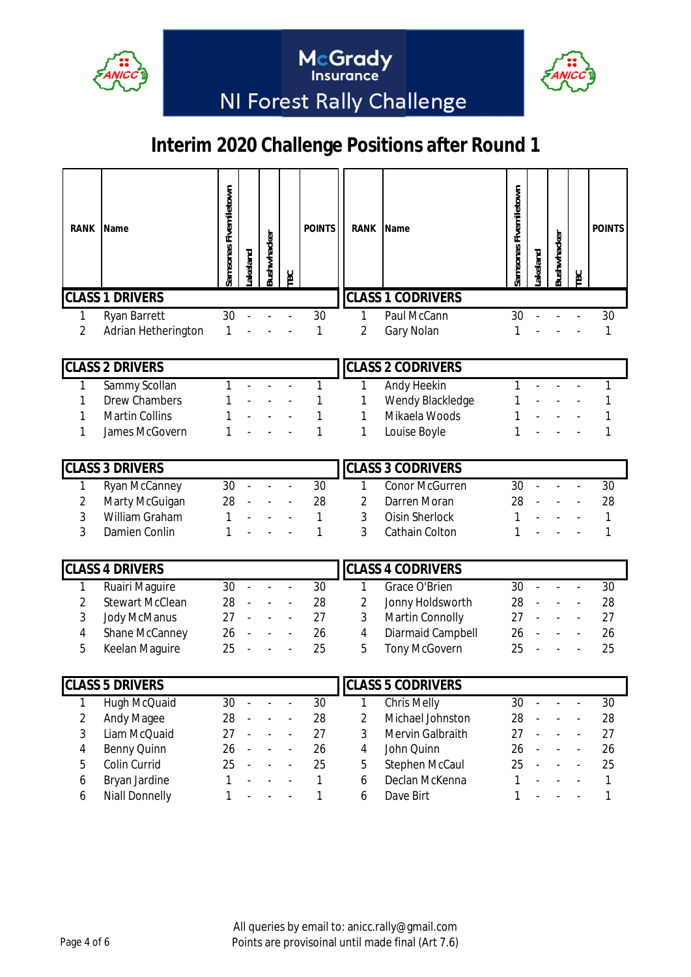



McGrady<br>Insurance

| RANK   | Name                       | Samsonas Fivemiletown | akeland | Bushwhacker | <b>TBC</b>     | <b>POINTS</b> | RANK                         | Name                     | Samsonas Fivemiletown | Lakeland | Bushwhacker    | <b>TBC</b>               | <b>POINTS</b> |
|--------|----------------------------|-----------------------|---------|-------------|----------------|---------------|------------------------------|--------------------------|-----------------------|----------|----------------|--------------------------|---------------|
|        | <b>CLASS 1 DRIVERS</b>     |                       |         |             |                |               |                              | <b>CLASS 1 CODRIVERS</b> |                       |          |                |                          |               |
| 1      | Ryan Barrett               | 30                    |         |             |                | 30            | 1                            | Paul McCann              | 30                    |          |                |                          | 30            |
| 2      | Adrian Hetherington        | 1                     |         |             |                | 1             | 2                            | Gary Nolan               | 1                     |          |                |                          | 1             |
|        |                            |                       |         |             |                |               |                              |                          |                       |          |                |                          |               |
|        | <b>CLASS 2 DRIVERS</b>     |                       |         |             |                |               |                              | <b>CLASS 2 CODRIVERS</b> |                       |          |                |                          |               |
| 1      | Sammy Scollan              | 1                     |         |             |                | 1             | 1                            | Andy Heekin              | 1                     |          |                |                          | 1             |
| 1      | <b>Drew Chambers</b>       |                       |         |             |                | 1             | 1                            | Wendy Blackledge         | 1                     |          |                |                          |               |
|        | <b>Martin Collins</b>      |                       |         |             |                |               | 1                            | Mikaela Woods            |                       |          |                |                          |               |
| 1      | James McGovern             | 1                     |         |             |                | 1             | 1                            | Louise Boyle             | 1                     |          |                |                          |               |
|        | <b>CLASS 3 DRIVERS</b>     |                       |         |             |                |               |                              | <b>CLASS 3 CODRIVERS</b> |                       |          |                |                          |               |
| 1      | Ryan McCanney              | 30                    |         |             |                | 30            | 1                            | <b>Conor McGurren</b>    | 30                    |          |                |                          | 30            |
| 2      | Marty McGuigan             | 28                    |         |             |                | 28            | 2                            | Darren Moran             | 28                    |          |                |                          | 28            |
| 3      | William Graham             | 1                     |         |             |                | 1             | 3                            | Oisin Sherlock           | 1                     |          |                |                          | 1             |
| 3      | Damien Conlin              | 1                     |         |             |                | 1             | 3                            | Cathain Colton           | 1                     |          |                |                          | 1             |
|        |                            |                       |         |             |                |               |                              |                          |                       |          |                |                          |               |
|        | <b>CLASS 4 DRIVERS</b>     |                       |         |             |                |               |                              | <b>CLASS 4 CODRIVERS</b> |                       |          |                |                          |               |
| 1      | Ruairi Maguire             | 30                    |         |             |                | 30            | 1                            | Grace O'Brien            | 30                    |          |                |                          | 30            |
| 2      | <b>Stewart McClean</b>     | 28                    |         |             |                | 28            | 2                            | Jonny Holdsworth         | 28                    |          |                |                          | 28            |
| 3      | Jody McManus               | 27                    |         |             |                | 27            | 3                            | Martin Connolly          | 27                    |          |                |                          | 27            |
| 4      | Shane McCanney             | 26                    |         |             |                | 26            | 4                            | Diarmaid Campbell        | 26                    |          |                |                          | 26            |
| 5      | Keelan Maguire             | 25                    |         |             |                | 25            | 5                            | <b>Tony McGovern</b>     | 25                    |          |                |                          | 25            |
|        | <b>CLASS 5 DRIVERS</b>     |                       |         |             |                |               |                              | <b>CLASS 5 CODRIVERS</b> |                       |          |                |                          |               |
|        |                            | 30                    |         |             | $\overline{a}$ | 30            |                              | <b>Chris Melly</b>       | 30                    |          | $\overline{a}$ | $\overline{a}$           | 30            |
| 1      | Hugh McQuaid               | 28                    |         |             |                | 28            | 1<br>$\overline{\mathbf{c}}$ | Michael Johnston         | 28                    |          |                |                          | 28            |
| 2<br>3 | Andy Magee<br>Liam McQuaid | 27                    |         |             | $\blacksquare$ | 27            | 3                            | Mervin Galbraith         | 27                    |          |                | $\blacksquare$           | 27            |
| 4      | Benny Quinn                | 26                    |         |             | $\Box$         | 26            | 4                            | John Quinn               | 26                    |          |                | $\Box$                   | 26            |
| 5      | Colin Currid               | 25                    |         |             | $\blacksquare$ | 25            | 5                            | Stephen McCaul           | 25                    |          |                | $\overline{\phantom{a}}$ | 25            |
| 6      | Bryan Jardine              | 1                     |         |             |                | $\mathbf{1}$  | 6                            | Declan McKenna           | 1                     |          |                |                          | 1             |
| 6      | <b>Niall Donnelly</b>      | 1                     |         |             |                | 1             | 6                            | Dave Birt                | 1                     |          |                |                          | 1             |
|        |                            |                       |         |             |                |               |                              |                          |                       |          |                |                          |               |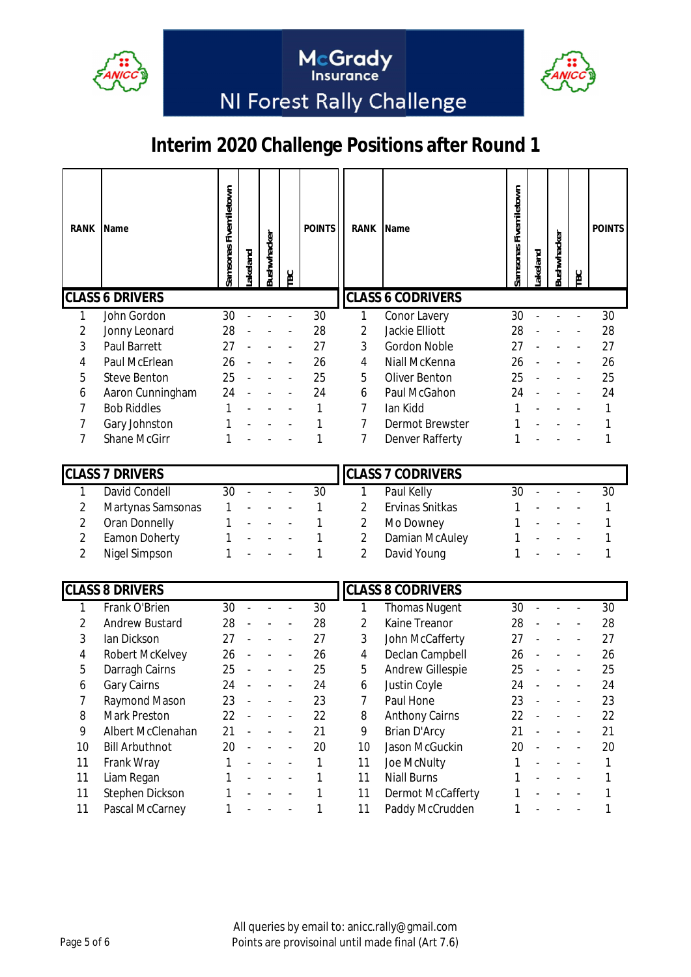



McGrady<br>Insurance

| RANK           | Name                   | Samsonas Fivemiletown | akeland        | <b>3ushwhacker</b> | TBC                      | <b>POINTS</b> | RANK           | Name                     | Samsonas Fivemiletown | akeland | <b>3ushwhacker</b> | <b>EC</b>      | <b>POINTS</b> |
|----------------|------------------------|-----------------------|----------------|--------------------|--------------------------|---------------|----------------|--------------------------|-----------------------|---------|--------------------|----------------|---------------|
|                | <b>CLASS 6 DRIVERS</b> |                       |                |                    |                          |               |                | <b>CLASS 6 CODRIVERS</b> |                       |         |                    |                |               |
| 1              | John Gordon            | 30                    |                |                    |                          | 30            | 1              | Conor Lavery             | $\overline{30}$       |         |                    |                | 30            |
| 2              | Jonny Leonard          | 28                    |                |                    |                          | 28            | $\overline{2}$ | Jackie Elliott           | 28                    |         |                    |                | 28            |
| 3              | Paul Barrett           | 27                    |                |                    |                          | 27            | 3              | <b>Gordon Noble</b>      | 27                    |         |                    |                | 27            |
| 4              | Paul McErlean          | 26                    |                |                    |                          | 26            | 4              | Niall McKenna            | 26                    |         |                    |                | 26            |
| 5              | <b>Steve Benton</b>    | 25                    |                |                    |                          | 25            | 5              | Oliver Benton            | 25                    |         |                    |                | 25            |
| 6              | Aaron Cunningham       | 24                    |                |                    |                          | 24            | 6              | Paul McGahon             | 24                    |         |                    |                | 24            |
| 7              | <b>Bob Riddles</b>     | 1                     |                |                    |                          | 1             | 7              | lan Kidd                 |                       |         |                    |                | 1             |
| 7              | Gary Johnston          | 1                     |                |                    |                          | 1             | $\overline{7}$ | <b>Dermot Brewster</b>   |                       |         |                    |                | 1             |
| 7              | <b>Shane McGirr</b>    | 1                     |                |                    |                          | 1             | $\overline{7}$ | Denver Rafferty          | 1                     |         |                    |                | 1             |
|                | <b>CLASS 7 DRIVERS</b> |                       |                |                    |                          |               |                | <b>CLASS 7 CODRIVERS</b> |                       |         |                    |                |               |
| 1              | <b>David Condell</b>   | 30                    |                |                    |                          | 30            | 1              | Paul Kelly               | 30                    |         |                    |                | 30            |
| $\overline{2}$ | Martynas Samsonas      | 1                     |                |                    |                          | 1             | $\overline{c}$ | Ervinas Snitkas          | 1                     |         |                    |                | 1             |
| 2              | Oran Donnelly          | 1                     |                |                    |                          | 1             | $\overline{2}$ | Mo Downey                |                       |         |                    |                |               |
| $\overline{2}$ | Eamon Doherty          |                       |                |                    |                          | 1             | $\overline{2}$ | Damian McAuley           |                       |         |                    |                |               |
| $\overline{2}$ | Nigel Simpson          | 1                     |                |                    |                          | 1             | $\overline{2}$ | David Young              |                       |         |                    |                | 1             |
|                |                        |                       |                |                    |                          |               |                |                          |                       |         |                    |                |               |
|                | <b>CLASS 8 DRIVERS</b> |                       |                |                    |                          |               |                | <b>CLASS 8 CODRIVERS</b> |                       |         |                    |                |               |
| 1              | Frank O'Brien          | 30                    |                |                    |                          | 30            | 1              | <b>Thomas Nugent</b>     | 30                    |         |                    |                | 30            |
| 2              | <b>Andrew Bustard</b>  | 28                    |                |                    |                          | 28            | $\overline{2}$ | Kaine Treanor            | 28                    |         |                    |                | 28            |
| 3              | lan Dickson            | 27                    |                |                    |                          | 27            | 3              | John McCafferty          | 27                    |         |                    |                | 27            |
| 4              | Robert McKelvey        | 26                    |                |                    |                          | 26            | 4              | Declan Campbell          | 26                    |         |                    |                | 26            |
| 5              | Darragh Cairns         | 25                    |                |                    |                          | 25            | 5              | Andrew Gillespie         | 25                    |         |                    |                | 25            |
| 6              | <b>Gary Cairns</b>     | 24                    |                |                    |                          | 24            | 6              | Justin Coyle             | 24                    |         |                    |                | 24            |
| 7              | Raymond Mason          | 23                    |                |                    |                          | 23            | 7              | Paul Hone                | 23                    |         |                    |                | 23            |
| 8              | Mark Preston           | 22                    |                |                    |                          | 22            | 8              | <b>Anthony Cairns</b>    | 22                    |         |                    |                | 22            |
| 9              | Albert McClenahan      | 21                    |                |                    |                          | 21            | 9              | Brian D'Arcy             | 21                    |         |                    |                | 21            |
| 10             | <b>Bill Arbuthnot</b>  | 20                    | $\blacksquare$ |                    | $\overline{\phantom{a}}$ | 20            | 10             | Jason McGuckin           | 20                    |         |                    |                | 20            |
| 11             | Frank Wray             | 1                     |                |                    | $\frac{1}{2}$            | 1             | 11             | Joe McNulty              | 1                     |         |                    | $\overline{a}$ | 1             |
| 11             | Liam Regan             | 1                     |                |                    |                          | 1             | 11             | <b>Niall Burns</b>       | 1                     |         |                    |                | 1             |
| 11             | Stephen Dickson        | 1                     |                |                    |                          | 1             | 11             | Dermot McCafferty        | 1                     |         |                    |                | 1             |
| 11             | Pascal McCarney        | 1                     |                |                    |                          | 1             | 11             | Paddy McCrudden          | 1                     |         |                    |                | 1             |